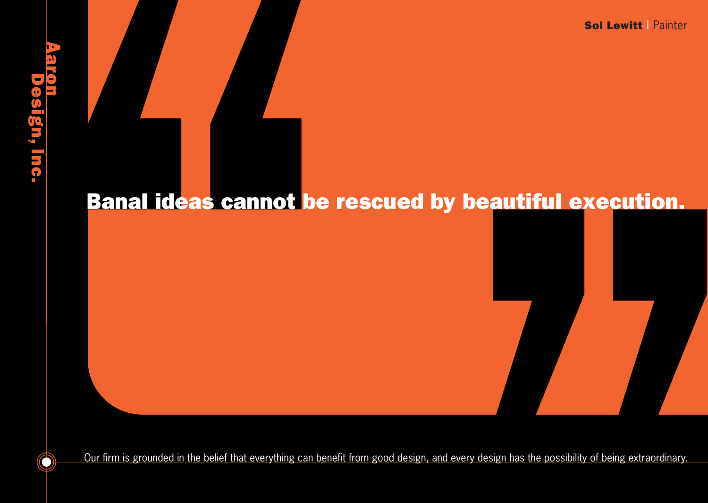Sol Lewitt | Painter

## **RIQID** sign, Inc.

 $\bigcirc$ 

## Banal ideas cannot be rescued by beautiful execution.

Our firm is grounded in the belief that everything can benefit from good design, and every design has the possibility of being extraordinary.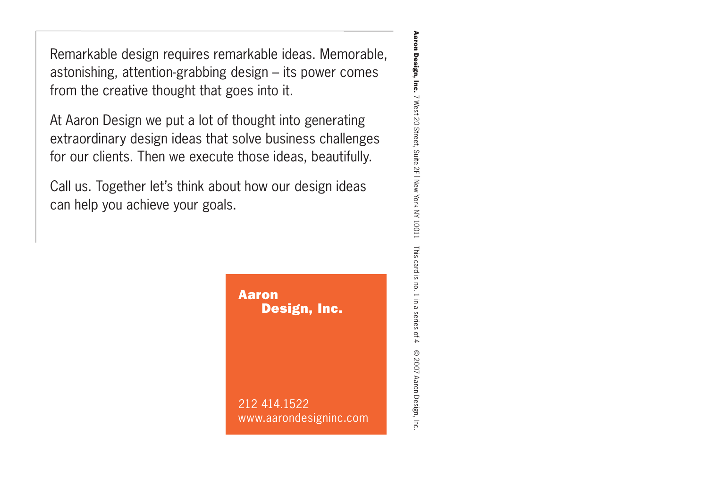Remarkable design requires remarkable ideas. Memorable, astonishing, attention-grabbing design – its power comes from the creative thought that goes into it.

At Aaron Design we put a lot of thought into generating extraordinary design ideas that solve business challenges for our clients. Then we execute those ideas, beautifully.

Call us. Together let's think about how our design ideas can help you achieve your goals.



Aaron Design, Inc. 7 West 20 Street, Suite 2F | New York NY 10011 Aaron Design, Inc. 7 West 20 Street, Suite 2F | New York NY 10011 This card is no. 1 in a series of 4 This card is no. 1 in a series of 4 C 2007 Aaron Design, Inc © 2007 Aaron Design, Inc.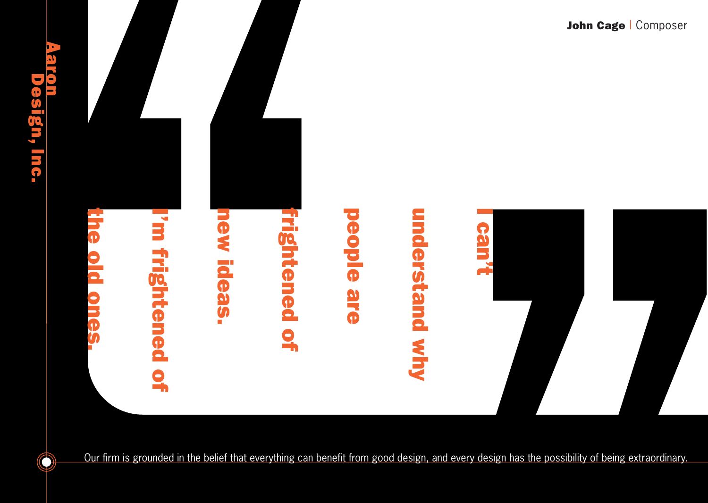

 $\bigcirc$ 

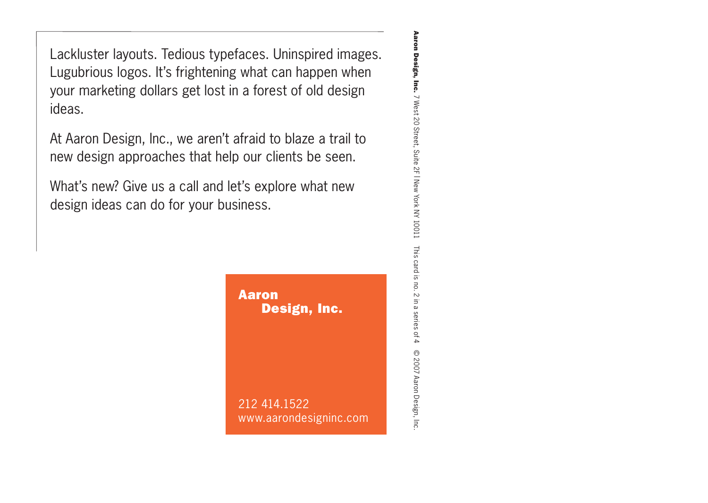Lackluster layouts. Tedious typefaces. Uninspired images. Lugubrious logos. It's frightening what can happen when your marketing dollars get lost in a forest of old design ideas.

At Aaron Design, Inc., we aren't afraid to blaze a trail to new design approaches that help our clients be seen.

What's new? Give us a call and let's explore what new design ideas can do for your business.



Aaron Design, Inc. 7 West 20 Street, Suite 2F | New York NY 10011 Aaron Design, Inc. 7 West 20 Street, Suite 2F | New York NY 10011 This card is no. 2 in a series of 4 This card is no. 2 in a series of 4 C 2007 Aaron Design, Inc © 2007 Aaron Design, Inc.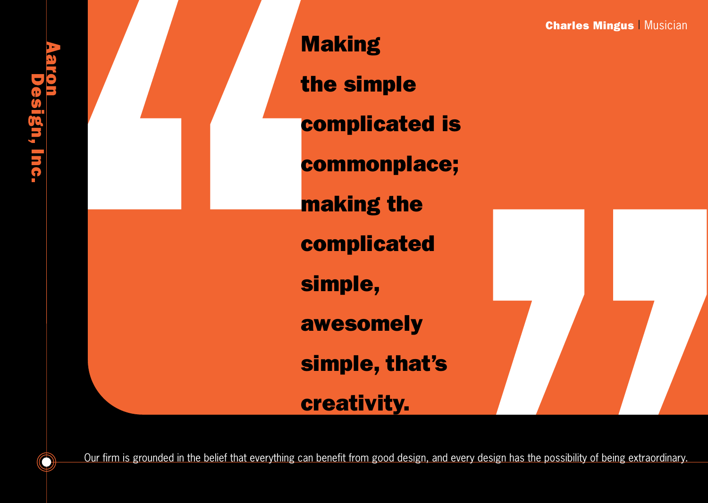Making the simple complicated is commonplace; making the complicated simple, awesomely simple, that's **Charles Mingus | Musician** 

**arole** 

ign, Inc.

 $\bigcirc$ 

Our firm is grounded in the belief that everything can benefit from good design, and every design has the possibility of being extraordinary.

creativity.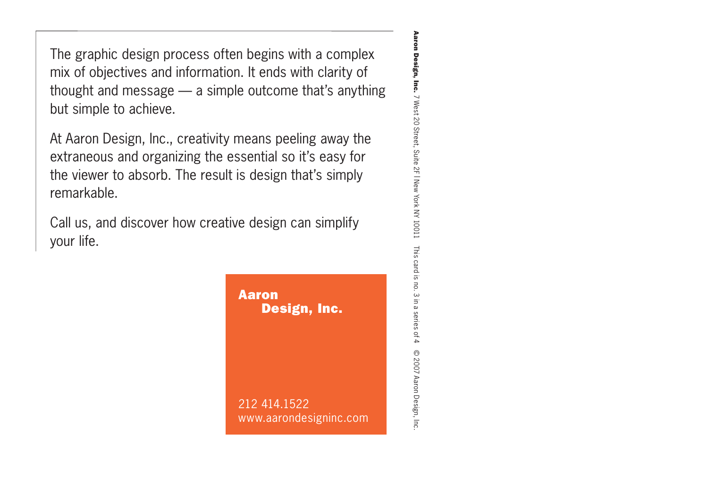The graphic design process often begins with a complex mix of objectives and information. It ends with clarity of thought and message — a simple outcome that's anything but simple to achieve.

At Aaron Design, Inc., creativity means peeling away the extraneous and organizing the essential so it's easy for the viewer to absorb. The result is design that's simply remarkable.

Call us, and discover how creative design can simplify your life.



Aaron Design, Inc. 7 West 20 Street, Suite 2F | New York NY 10011 Aaron Design, Inc. 7 West 20 Street, Suite 2F | New York NY 10011 This card is no. 3 in a series of 4 This card is no. 3 in a series of 4 C 2007 Aaron Design, Inc © 2007 Aaron Design, Inc.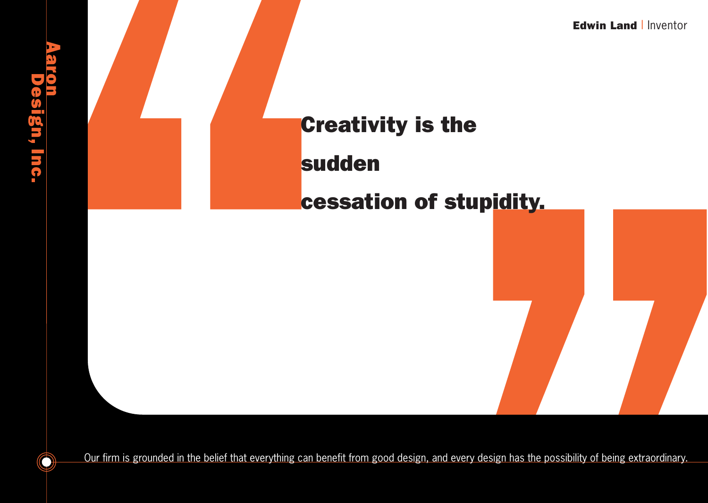

Our firm is grounded in the belief that everything can benefit from good design, and every design has the possibility of being extraordinary.

 $\bigcirc$